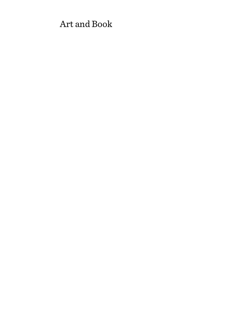# Art and Book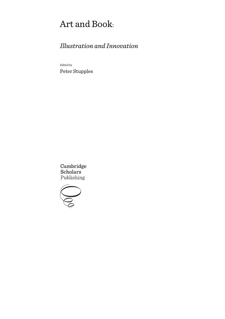# Art and Book:

# *Illustration and Innovation*

Edited by Peter Stupples

Cambridge Scholars Publishing

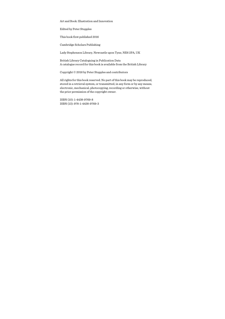Art and Book: Illustration and Innovation

Edited by Peter Stupples

This book first published 2016

Cambridge Scholars Publishing

Lady Stephenson Library, Newcastle upon Tyne, NE6 2PA, UK

British Library Cataloguing in Publication Data A catalogue record for this book is available from the British Library

Copyright © 2016 by Peter Stupples and contributors

All rights for this book reserved. No part of this book may be reproduced, stored in a retrieval system, or transmitted, in any form or by any means, electronic, mechanical, photocopying, recording or otherwise, without the prior permission of the copyright owner.

ISBN (10): 1-4438-9769-8 ISBN (13): 978-1-4438-9769-3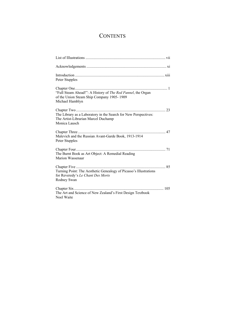## **CONTENTS**

| Peter Stupples                                                                                                              |
|-----------------------------------------------------------------------------------------------------------------------------|
| "Full Steam Ahead!": A History of The Red Funnel, the Organ<br>of the Union Steam Ship Company 1905-1909<br>Michael Hamblyn |
| The Library as a Laboratory in the Search for New Perspectives:<br>The Artist-Librarian Marcel Duchamp<br>Monica Lausch     |
| Malevich and the Russian Avant-Garde Book, 1913-1914<br>Peter Stupples                                                      |
| The Burnt Book as Art Object: A Remedial Reading<br>Marion Wassenaar                                                        |
| Turning Point: The Aesthetic Genealogy of Picasso's Illustrations<br>for Reveredy's Le Chant Des Morts<br>Rodney Swan       |
| The Art and Science of New Zealand's First Design Textbook<br>Noel Waite                                                    |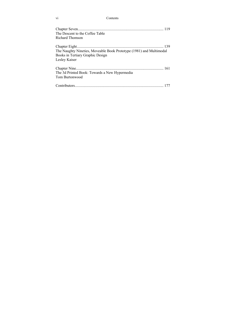| Contents |
|----------|
|          |

| The Descent to the Coffee Table                                     |  |
|---------------------------------------------------------------------|--|
| Richard Thomson                                                     |  |
|                                                                     |  |
| The Naughty Nineties, Moveable Book Prototype (1981) and Multimodal |  |
| Books in Tertiary Graphic Design                                    |  |
| Lesley Kaiser                                                       |  |
|                                                                     |  |
| The 3d Printed Book: Towards a New Hypermedia                       |  |
| Tom Burtonwood                                                      |  |
|                                                                     |  |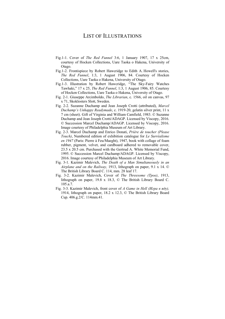### LIST OF ILLUSTRATIONS

- Fig.1-1. Cover of *The Red Funnel* 3:6, 1 January 1907, 17 x 25cm, courtesy of Hocken Collections, Uare Taoka o Hakena, University of Otago.
- Fig.1-2. Frontispiece by Robert Hawcridge to Edith A. Howell's stories, *The Red Funnel*, 1:3, 1 August 1906, 84. Courtesy of Hocken Collections, Uare Taoka o Hakena, University of Otago.
- Fig.1-3. Illustration by Robert Hawcridge, "The Sky-Fairy Watches Tawhaki," 17 x 25, *The Red Funnel*, 1:3, 1 August 1906, 85. Courtesy of Hocken Collections, Uare Taoka o Hakena, University of Otago.
- Fig. 2-1. Giuseppe Arcimboldo, *The Librarian*, c. 1566, oil on canvas, 97 x 71, Skoklosters Slott, Sweden.
- Fig. 2-2. Suzanne Duchamp and Jean Joseph Crotti (attributed), *Marcel Duchamp's Unhappy Readymade*, c. 1919-20, gelatin silver print, 11 x 7 cm (sheet). Gift of Virginia and William Camfield, 1983. © Suzanne Duchamp and Jean Joseph Crotti/ADAGP. Licensed by Viscopy, 2016. © Succession Marcel Duchamp/ADAGP. Licensed by Viscopy, 2016. Image courtesy of Philadelphia Museum of Art Library.
- Fig. 2-3. Marcel Duchamp and Enrico Donati, *Prière de toucher (Please Touch)*, Numbered edition of exhibition catalogue for *Le Surréalisme en 1947* (Paris: Pierre à Feu/Maeght), 1947, book with collage of foam rubber, pigment, velvet, and cardboard adhered to removable cover, 23.5 x 20.5 cm. Purchased with the Gertrud A. White Memorial Fund, 1995. © Succession Marcel Duchamp/ADAGP. Licensed by Viscopy, 2016. Image courtesy of Philadelphia Museum of Art Library.
- Fig. 3-1. Kazimir Malevich, *The Death of a Man Simultaneously in an Airplane and on the Railway,* 1913, lithograph on paper, 9.1 x 14. © The British Library Board C. 114, mm. 28 leaf 17.
- Fig. 3-2. Kazimir Malevich, Cover of *The Threesome (Трое)*, 1913, lithograph on paper, 19.8 x 18.3, © The British Library Board C. 105.a.7.
- Fig. 3-3. Kazimir Malevich, front cover of *A Game in Hell (Игра в яду),* 1914, lithograph on paper, 18.2 x 12.3, © The British Library Board Cup. 406.g.2/C. 114mm.41.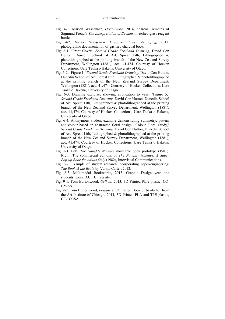- Fig. 4-1. Marion Wassenaar, *Dreamwork,* 2014, charcoal remains of Sigmund Freud's *The Interpretation of Dreams* in etched glass reagent bottle.
- Fig. 4-2. Marion Wassenaar, *Creative Flower Arranging,* 2011, photographic documentation of gasified charcoal book.
- Fig. 6-1. 'Front Cover,' *Second Grade Freehand Drawing,* David Con Hutton, Dunedin School of Art, Spreat Lith, Lithographed & photolithographed at the printing branch of the New Zealand Survey Department, Wellington (1881), acc. 41,474. Courtesy of Hocken Collections, Uare Taoka o Hakena, University of Otago.
- Fig. 6-2. 'Figure 1,' *Second Grade Freehand Drawing,* David Con Hutton, Dunedin School of Art, Spreat Lith, Lithographed & photolithographed at the printing branch of the New Zealand Survey Department, Wellington (1881), acc. 41,474. Courtesy of Hocken Collections, Uare Taoka o Hakena, University of Otago.
- Fig. 6-3. Drawing exercise, showing application to vase. 'Figure 5,' *Second Grade Freehand Drawing,* David Con Hutton, Dunedin School of Art, Spreat Lith, Lithographed & photolithographed at the printing branch of the New Zealand Survey Department, Wellington (1881), acc. 41,474. Courtesy of Hocken Collections, Uare Taoka o Hakena, University of Otago.
- Fig. 6-4. Anonymous student example demonstrating symmetry, pattern and colour based on abstracted floral design. 'Colour Floral Study,' *Second Grade Freehand Drawing,* David Con Hutton, Dunedin School of Art, Spreat Lith, Lithographed & photolithographed at the printing branch of the New Zealand Survey Department, Wellington (1881), acc. 41,474. Courtesy of Hocken Collections, Uare Taoka o Hakena, University of Otago.
- Fig. 8-1. Left: *The Naughty Nineties* moveable book prototype (1981). Right: The commercial editions of *The Naughty Nineties*. *A Saucy Pop-up Book for Adults Only* (1982), Intervisual Communications.
- Fig. 8-2. Example of student research incorporating paper-engineering: *The Book & the Brain* by Varnia Carter, 2012.
- Fig. 8-3. Multimodal Bookworks, 2013. Graphic Design year one students' work, AUT University.
- Fig. 9-1. Tom Burtonwood, *Orihon*, 2013, 3D Printed PLA plastic, CC-BY-SA.
- Fig. 9-2. Tom Burtonwood, *Folium,* a 3D Printed Book of bas-belief from the Art Institute of Chicago, 2014, 3D Printed PLA and TPE plastic, CC-BY-SA.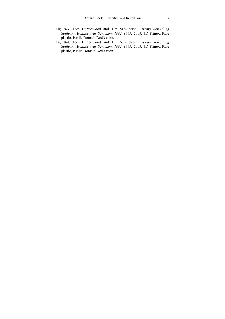- Fig. 9-3. Tom Burtonwood and Tim Samuelson, *Twenty Something Sullivan, Architectural Ornament 1881–1885*, 2015, 3D Printed PLA plastic, Public Domain Dedication.
- Fig. 9-4. Tom Burtonwood and Tim Samuelson, *Twenty Something Sullivan, Architectural Ornament 1881–1885*, 2015, 3D Printed PLA plastic, Public Domain Dedication.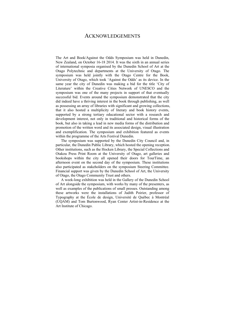### ACKNOWLEDGEMENTS

The Art and Book/Against the Odds Symposium was held in Dunedin, New Zealand, on October 16-18 2014. It was the sixth in an annual series of international symposia organised by the Dunedin School of Art at the Otago Polytechnic and departments at the University of Otago. The symposium was held jointly with the Otago Centre for the Book, University of Otago, which took 'Against the Odds' as its device. In the same year the city of Dunedin was making a bid for the title 'City of Literature' within the Creative Cities Network of UNESCO and the symposium was one of the many projects in support of that eventually successful bid. Events around the symposium demonstrated that the city did indeed have a thriving interest in the book through publishing, as well as possessing an array of libraries with significant and growing collections, that it also hosted a multiplicity of literary and book history events, supported by a strong tertiary educational sector with a research and development interest, not only in traditional and historical forms of the book, but also in taking a lead in new media forms of the distribution and promotion of the written word and its associated design, visual illustration and exemplification. The symposium and exhibition featured as events within the programme of the Arts Festival Dunedin.

The symposium was supported by the Dunedin City Council and, in particular, the Dunedin Public Library, which hosted the opening reception. Other institutions, such as the Hocken Library, the Special Collections and Otakou Press Print Room at the University of Otago, art galleries and bookshops within the city all opened their doors for TourTime, an afternoon event on the second day of the symposium. These institutions also participated as stakeholders on the symposium Steering Committee. Financial support was given by the Dunedin School of Art, the University of Otago, the Otago Community Trust and others.

A week-long exhibition was held in the Gallery of the Dunedin School of Art alongside the symposium, with works by many of the presenters, as well as examples of the publications of small presses. Outstanding among these artworks were the installations of Judith Poirier, professor of Typography at the École de design, Université de Québec à Montréal (UQAM) and Tom Burtonwood, Ryan Center Artist-in-Residence at the Art Institute of Chicago.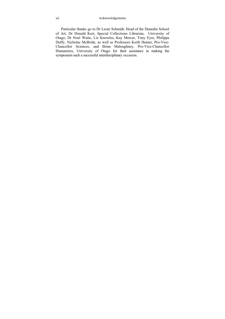Particular thanks go to Dr Leoni Schmidt, Head of the Dunedin School of Art, Dr Donald Kerr, Special Collections Librarian, University of Otago, Dr Noel Waite, Liz Knowles, Kay Mercer, Tony Eyre, Philippa Duffy, Nicholas McBride, as well as Professors Keith Hunter, Pro-Vice-Chancellor Sciences, and Brian Maloughney, Pro-Vice-Chancellor Humanities, University of Otago for their assistance in making the symposium such a successful interdisciplinary occasion.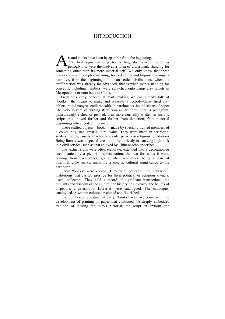### **INTRODUCTION**

rt and books have been inseparable from the beginning. The first signs standing for a linguistic concept, such as petroglyphs, were themselves a form of art: a mark standing for something other than its mere material self. We only know that these marks conveyed complex meaning, formed compound linguistic strings, a narrative, from the beginning of human settled civilisations, when the craft/practice was already far advanced, that is when marks standing for concepts, including numbers, were scratched onto damp clay tablets in Mesopotamia or onto bone in China. A

From this early conceptual mark making we can already talk of "books," the means to make and preserve a record—those fired clay tablets, rolled papyrus codices, calfskin parchments, bound sheets of paper. The very system of writing itself was an art form—first a pictogram, painstakingly etched or penned, then more hurriedly written in hieratic scripts that moved further and further from depiction, from pictorial beginnings into encoded information.

These crafted objects—books— made by specially trained members of a community, had great cultural value. They were made in scriptoria, scribes' rooms, usually attached to secular palaces or religious foundations. Being literate was a special vocation, often priestly or carrying high rank in a civil service, such as that enjoyed by Chinese scholar-scribes.

The textual signs were often elaborate, extended into a decoration or accompanied by a pictorial representation, the two forms, as it were, coming from each other, going into each other, being a pair of interintelligible marks, imparting a specific cultural significance to the bare script.

These "books" were copied. They were collected into "libraries," institutions that carried prestige for their political or religious owners, users, collectors. They held a record of significant transactions, the thoughts and wisdom of the culture, the history of a dynasty, the beliefs of a people, a priesthood. Libraries were catalogued. The catalogues catalogued. A written culture developed and flourished.

The cumbersome nature of early "books" was overcome with the development of printing on paper that continued the deeply embedded tradition of making the marks pictorial, the script an artform, the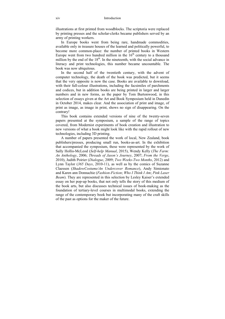illustrations at first printed from woodblocks. The scriptoria were replaced by printing presses and the scholar-clerks became publishers served by an army of printing workers.

In Europe books went from being rare, handmade commodities, available only in treasure houses of the learned and politically powerful, to become more common-place: the number of printed books in Western Europe went from two hundred million in the  $16<sup>th</sup>$  century to a thousand million by the end of the  $18<sup>th</sup>$ . In the nineteenth, with the social advance in literacy and print technologies, this number became uncountable. The book was now ubiquitous.

In the second half of the twentieth century, with the advent of computer technology, the death of the book was predicted, but it seems that the very opposite is now the case. Books are available to download, with their full-colour illustrations, including the facsimiles of parchments and codices, but in addition books are being printed in larger and larger numbers and in new forms, as the paper by Tom Burtonwood, in this selection of essays given at the Art and Book Symposium held in Dunedin in October 2014, makes clear. And the association of print and image, of print as image, as image in print, shows no sign of disappearing. On the contrary!

This book contains extended versions of nine of the twenty-seven papers presented at the symposium, a sample of the range of topics covered, from Modernist experiments of book creation and illustration to new versions of what a book might look like with the rapid rollout of new technologies, including 3D printing.

A number of papers presented the work of local, New Zealand, book publishers/presses, producing small run, books-as-art. In the exhibition that accompanied the symposium, these were represented by the work of Sally Hollis-McLeod (*Self-help Manual*, 2015), Wendy Kelly (*The Farm: An Anthology*, 2006; *Threads of Jason's Journey*, 2007; *From the Verge*, 2010), Judith Poirier (*Dialogue*, 2009; *Two Weeks-Two Months*, 2012) and Lynn Taylor (*365 Days*, 2010-11), as well as by the comics of Suzanne Claessen (*ShadowCostume/An Undercover Romance*), Andy Simionato and Karen ann Donnachie (*Fashion-Fiction*; *Who I Think I Am*; *Pink Laser Beam*). They are represented in this selection by Lesley Kaiser's extended essay on her pop-up books, that not only tells the story of this medium of the book arts, but also discusses technical issues of book-making as the foundation of tertiary-level courses in multimodal books, extending the range of the contemporary book but incorporating many of the craft skills of the past as options for the maker of the future.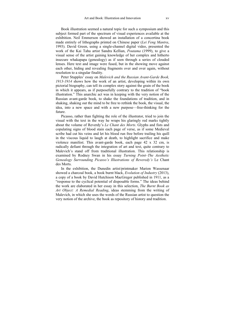Book illustration seemed a natural topic for such a symposium and this subject formed part of the spectrum of visual experiences available at the exhibition. Neil Emmerson showed an installation of a concertina book made entirely of lithographs printed on Chinese paper (*Lei Feng Mantra*, 1993). David Green, using a single-channel digital video, presented the work of the Kai Tahu artist Sandra Kellian, *Poutama* (1999), to give a visual sense of the artist gaining knowledge of her complex and hitherto insecure whakapapa (genealogy) as if seen through a series of clouded lenses. Here text and image were fused, but in the showing move against each other, hiding and revealing fragments over and over again, without resolution to a singular finality.

Peter Stupples' essay on *Malevich and the Russian Avant-Garde Book, 1913-1914* shows how the work of an artist, developing within its own pictorial biography, can tell its complex story against the grain of the book in which it appears, as if purposefully contrary to the tradition of "book illustration." This anarchic act was in keeping with the very notion of the Russian avant-garde book, to shake the foundations of tradition, and in shaking, shaking out the mind to be free to rethink the book, the visual, the idea, into a new space and with a new purpose—free-thinking for the future.

Picasso, rather than fighting the role of the illustrator, tried to join the visual with the text in the way he wraps his glaringly red marks tightly about the volume of Reverdy's *Le Chant des Morts*. Glyphs and fists and copulating signs of blood stain each page of verse, as if some Medieval scribe had cut his veins and let his blood run free before trailing his quill in the viscous liquid to laugh at death, to highlight sacrifice and make violence manifest. This avant-garde book, each page 42 x 32 cm, is radically defiant through the integration of art and text, quite contrary to Malevich's stand off from traditional illustration. This relationship is examined by Rodney Swan in his essay *Turning Point–The Aesthetic Genealogy Surrounding Picasso's Illustrations of Reveredy's* Le Chant des Morts.

In the exhibition, the Dunedin artist/printmaker Marion Wassenaar showed a charcoal book, a book burnt black, *Evolution of Industry* (2013), a copy of a book by David Hutchison MacGregor published in 1911, as a "response to the cyclical potential of disposable forms." The ideas behind the work are elaborated in her essay in this selection, *The Burnt Book as Art Object: A Remedial Reading*, ideas stemming from the writing of Malevich, in which she uses the words of the Russian artist to question the very notion of the archive, the book as repository of history and tradition.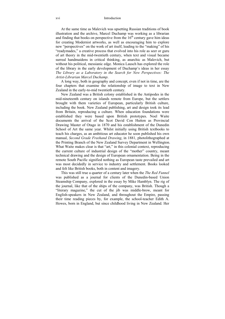### xvi Introduction

At the same time as Malevich was upsetting Russian traditions of book illustration and the archive, Marcel Duchamp was working as a librarian and finding that books on perspective from the  $16<sup>th</sup>$  century gave him ideas for creating Modernist artworks, as well as encouraging him to explore new "perspectives" on the work of art itself, leading to the "making" of his "readymades," a creative process that evolved into his role as seer or guru of art theory in the mid-twentieth century, when text and visual became surreal handmaidens in critical thinking, as anarchic as Malevich, but without his political, messianic edge. Monica Lausch has explored the role of the library in the early development of Duchamp's ideas in her essay *The Library as a Laboratory in the Search for New Perspectives: The Artist-Librarian Marcel Duchamp*.

A long way, both in geography and concept, even if not in time, are the four chapters that examine the relationship of image to text in New Zealand in the early-to-mid twentieth century.

New Zealand was a British colony established in the Antipodes in the mid-nineteenth century on islands remote from Europe, but the settlers brought with them varieties of European, particularly British culture, including the book. New Zealand publishing, art and design took its lead from Britain, reproducing a culture. When education foundations were established they were based upon British prototypes. Noel Waite documents the arrival of the Scot David Con Hutton as Provincial Drawing Master of Otago in 1870 and his establishment of the Dunedin School of Art the same year. Whilst initially using British textbooks to teach his charges, as an ambitious art educator he soon published his own manual, *Second Grade Freehand Drawing*, in 1881, photolithographed at the Printing Branch of the New Zealand Survey Department in Wellington. What Waite makes clear is that "art," in this colonial context, reproducing the current culture of industrial design of the "mother" country, meant technical drawing and the design of European ornamentation. Being in the remote South Pacific signified nothing as European taste prevailed and art was most decidedly in service to industry and settlement. Books looked and felt like British books, both in content and imagery.

This was still true a quarter of a century later when the *The Red Funnel* was published as a journal for clients of the Dunedin-based Union Steamship Company, explored in the essay by Mike Hamblyn. The rig of the journal, like that of the ships of the company, was British. Though a "literary magazine," the cut of the jib was middle-brow, meant for English-speakers in New Zealand, and throughout the Empire, passing their time reading pieces by, for example, the school-teacher Edith A. Howes, born in England, but since childhood living in New Zealand. Her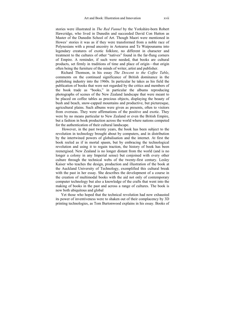stories were illustrated in *The Red Funnel* by the Yorkshire-born Robert Hawcridge, who lived in Dunedin and succeeded David Con Hutton as Master of the Dunedin School of Art. Though Maori were mentioned in Howes' stories it was as if they were transformed from a noble race of Polynesians with a proud ancestry in Aotearoa and Te Waipounamu into legendary creatures of exotic folklore, no different in character and treatment to the cultures of other "natives" found in the far-flung corners of Empire. A reminder, if such were needed, that books are cultural products, set firmly in traditions of time and place of origin—that origin often being the furniture of the minds of writer, artist and publisher.

Richard Thomson, in his essay *The Descent to the Coffee Table*, comments on the continued significance of British dominance in the publishing industry into the 1960s. In particular he takes as his field the publication of books that were not regarded by the critics and members of the book trade as "books," in particular the albums reproducing photographs of scenes of the New Zealand landscape that were meant to be placed on coffee tables as precious objects, displaying the beauty of bush and beach, snow-capped mountains and productive, but picturesque, agricultural plains. Such albums were given as presents, often to visitors from overseas. They were affirmations of the positive and exotic. They were by no means particular to New Zealand or even the British Empire, but a fashion in book production across the world where nations competed for the authentication of their cultural landscape.

 However, in the past twenty years, the book has been subject to the revolution in technology brought about by computers, and in distribution by the intertwined powers of globalisation and the internet. At first the book reeled as if in mortal spasm, but by embracing the technological revolution and using it to regain traction, the history of book has been reenergised. New Zealand is no longer distant from the world (and is no longer a colony in any Imperial sense) but conjoined with every other culture through the technical webs of the twenty-first century. Lesley Kaiser who teaches the design, production and illustration of the book at the Auckland University of Technology, exemplified this cultural break with the past in her essay. She describes the development of a course in the creation of multimodal books with the aid not only of contemporary computer technology but also a knowledge of the crafts that went into the making of books in the past and across a range of cultures. The book is now both ubiquitous and global

Yet those who hoped that the technical revolution had now exhausted its power of inventiveness were to shaken out of their complacency by 3D printing technologies, as Tom Burtonwood explains in his essay. Books of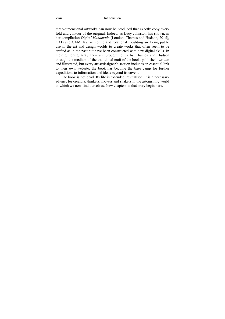three-dimensional artworks can now be produced that exactly copy every fold and contour of the original. Indeed, as Lucy Johnston has shown, in her compilation *Digital Handmade* (London: Thames and Hudson, 2015), CAD and CAM, laser-sintering and rotational moulding are being put to use in the art and design worlds to create works that often seem to be crafted as in the past but have been constructed with new digital skills. In their glittering array they are brought to us by Thames and Hudson through the medium of the traditional craft of the book, published, written and illustrated, but every artist/designer's section includes an essential link to their own website: the book has become the base camp for further expeditions to information and ideas beyond its covers.

The book is not dead. Its life is extended, revitalised. It is a necessary adjunct for creators, thinkers, movers and shakers in the astonishing world in which we now find ourselves. New chapters in that story begin here.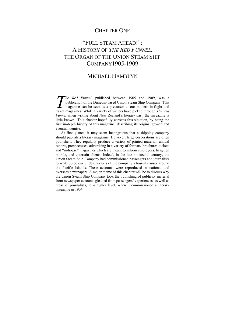### CHAPTER ONE

## "FULL STEAM AHEAD!": A HISTORY OF *THE RED FUNNEL,* THE ORGAN OF THE UNION STEAM SHIP COMPANY1905-1909

### MICHAEL HAMBLYN

*he Red Funnel*, published between 1905 and 1909, was a publication of the Dunedin-based Union Steam Ship Company. This magazine can be seen as a precursor to our modern in-flight and The Red Funnel, published between 1905 and 1909, was a publication of the Dunedin-based Union Steam Ship Company. This magazine can be seen as a precursor to our modern in-flight and travel magazines. While a variety of wr *Funnel* when writing about New Zealand's literary past, the magazine is little known.<sup>1</sup> This chapter hopefully corrects this situation, by being the first in-depth history of this magazine, describing its origins, growth and eventual demise.

At first glance, it may seem incongruous that a shipping company should publish a literary magazine. However, large corporations are often publishers. They regularly produce a variety of printed material: annual reports, prospectuses, advertising in a variety of formats, brochures, tickets and "in-house" magazines which are meant to inform employees, heighten morale, and entertain clients. Indeed, in the late nineteenth-century, the Union Steam Ship Company had commissioned passengers and journalists to write up colourful descriptions of the company's tourist cruises around the Pacific Islands. These accounts were reproduced in national and overseas newspapers. A major theme of this chapter will be to discuss why the Union Steam Ship Company took the publishing of publicity material from newspaper accounts gleaned from passengers' experiences, as well as those of journalists, to a higher level, when it commissioned a literary magazine in 1904.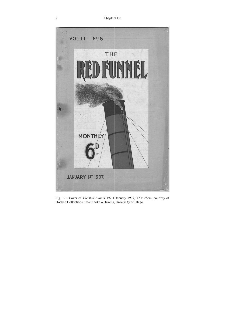

Fig. 1-1. Cover of *The Red Funnel* 3:6, 1 January 1907, 17 x 25cm, courtesy of Hocken Collections, Uare Taoka o Hakena, University of Otago.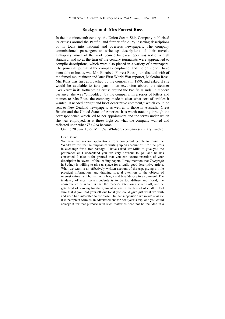### **Background: Mrs Forrest Ross**

In the late nineteenth-century, the Union Steam Ship Company publicised its cruises around the Pacific, and further afield, by inserting descriptions of its tours into national and overseas newspapers. The company commissioned passengers to write up descriptions of their travels. Unhappily, much of the work penned by passengers was not of a high standard, and so at the turn of the century journalists were approached to compile descriptions, which were also placed in a variety of newspapers. The principal journalist the company employed, and the only one I have been able to locate, was Mrs Elizabeth Forrest Ross, journalist and wife of the famed mountaineer and later First World War reporter, Malcolm Ross. Mrs Ross was first approached by the company in 1899, and asked if she would be available to take part in an excursion aboard the steamer "Waikare" in its forthcoming cruise around the Pacific Islands. In modern parlance, she was "embedded" by the company. In a series of letters and memos to Mrs Ross, the company made it clear what sort of articles it wanted. It needed "bright and brief descriptive comment," which could be sent to New Zealand newspapers, as well as to those in Australia, Great Britain and the United States of America. It is worth tracking through the correspondence which led to her appointment and the terms under which she was employed, as it threw light on what the company wanted and reflected upon what *The Red* became.

On the 20 June 1899, Mr T.W. Whitson, company secretary, wrote:

Dear Bessie,

We have had several applications from competent people to make the "Waikare" trip for the purpose of writing up an account of it for the press in exchange for a free passage. I have asked Mr Mills to give you the preference as I understand you are very desirous to go—and he has consented. I take it for granted that you can secure insertion of your description in several of the leading papers. I may mention that *Telegraph* in Sydney is willing to give us space for a really good descriptive article. What we want is an effectively written account of the trip, giving a little practical information, and drawing special attention to the objects of interest natural and human, with bright and brief descriptive comment. The tendency of most correspondents is to be too diffuse and florid, the consequence of which is that the reader's attention slackens off, and he gets tired of looking for the grain of wheat in the bushel of chaff. I feel sure that if you laid yourself out for it you could give just what we wish and keep him interested to the close. On that supposition we would re-issue it in pamphlet form as an advertisement for next year's trip, and you could enlarge it for that purpose with such matter as need not be included in a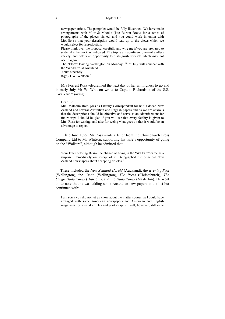newspaper article. The pamphlet would be fully illustrated. We have made arrangements with Muir  $\&$  Moodie (late Burton Bros.) for a series of photographs of the places visited, and you could work in union with Moodie so that your description would lead up to the views which we would select for reproduction.

Please think over the proposal carefully and wire me if you are prepared to undertake the work as indicated. The trip is a magnificent one—of endless variety, and offers an opportunity to distinguish yourself which may not occur again.

The "Flora" leaving Wellington on Monday 3<sup>rd</sup> of July will connect with the "Waikare" at Auckland.

Yours sincerely

(Sgd) T.W. Whitson. $<sup>2</sup>$ </sup>

Mrs Forrest Ross telegraphed the next day of her willingness to go and in early July Mr W. Whitson wrote to Captain Richardson of the S.S. "Waikare," saying:

#### Dear Sir,

Mrs. Malcolm Ross goes as Literary Correspondent for half a dozen New Zealand and several Australian and English papers and as we are anxious that the descriptions should be effective and serve as an advertisement for future trips I should be glad if you will see that every facility is given to Mrs. Ross for writing, and also for seeing what goes on that it would be an advantage to report.<sup>3</sup>

 In late June 1899, Mr Ross wrote a letter from the Christchurch Press Company Ltd to Mr Whitson, supporting his wife's opportunity of going on the "Waikare", although he admitted that:

Your letter offering Bessie the chance of going in the "Waikare" came as a surprise. Immediately on receipt of it I telegraphed the principal New Zealand newspapers about accepting articles.<sup>4</sup>

 These included the *New Zealand Herald* (Auckland), the *Evening Post* (Wellington), the *Critic* (Wellington), *The Press* (Christchurch), *The Otago Daily Times* (Dunedin), and the *Daily Times* (Masterton). He went on to note that he was adding some Australian newspapers to the list but continued with:

I am sorry you did not let us know about the matter sooner, as I could have arranged with some American newspapers and American and English magazines for special articles and photographs. I will, however, still write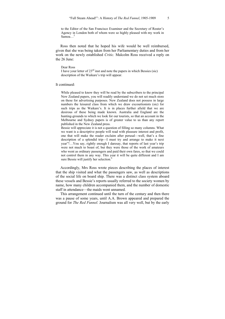to the Editor of the San Francisco Examiner and the Secretary of Reuter's Agency in London both of whom were so highly pleased with my work in Samoa…5

 Ross then noted that he hoped his wife would be well reimbursed, given that she was being taken from her Parliamentary duties and from her work on the newly established *Critic.* Malcolm Ross received a reply on the 26 June:

#### Dear Ross

I have your letter of  $23<sup>rd</sup>$  inst and note the papers in which Bessies (sic) description of the Waikare's trip will appear.

#### It continued:

While pleased to know they will be read by the subscribers to the principal New Zealand papers, you will readily understand we do not set much store on these for advertising purposes. New Zealand does not possess in large numbers the leisured class from which we draw excourtionists (sic) for such trips as the Waikare's. It is in places further afield that we are desirous of these being made known. Australia and England are the hunting-grounds to which we look for our tourists, so that an account in the Melbourne and Sydney papers is of greater value to us than any report published in the New Zealand press.

Bessie will appreciate it is not a question of filling so many columns. What we want is a descriptive people will read with pleasure interest and profit, one that will make the reader exclaim after perusal—well, that's a fine description of a splendid trip—I must try and arrange to make it next year"!…You say, rightly enough I daresay, that reports of last year's trip were not much to boast of, but they were those of the work of amateurs who went as ordinary passengers and paid their own fares, so that we could not control them in any way. This year it will be quite different and I am sure Bessie will justify her selection.<sup>6</sup>

 Accordingly, Mrs Ross wrote pieces describing the places of interest that the ship visited and what the passengers saw, as well as descriptions of the social life on board ship. There was a distinct class system aboard these vessels and Bessie's reports usually referred to the society women by name, how many children accompanied them, and the number of domestic staff in attendance—the maids went unnamed.

 This arrangement continued until the turn of the century and then there was a pause of some years, until A.A. Brown appeared and prepared the ground for *The Red Funnel.* Journalism was all very well, but by the early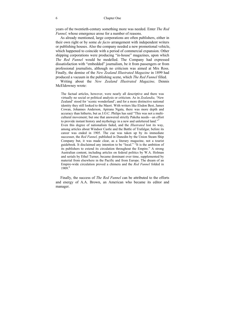years of the twentieth-century something more was needed. Enter *The Red Funnel,* whose emergence arose for a number of reasons.

 As already mentioned, large corporations are often publishers, either in their own right or by some *de facto* arrangement with independent writers or publishing houses. Also the company needed a new promotional vehicle, which happened to coincide with a period of commercial expansion. Other shipping corporations were producing "in-house" magazines, upon which *The Red Funnel* would be modelled. The Company had expressed dissatisfaction with "embedded" journalism, be it from passengers or from professional journalists, although no criticism was aimed at Mrs Ross. Finally, the demise of the *New Zealand Illustrated Magazine* in 1899 had produced a vacuum in the publishing scene, which *The Red Funnel* filled.

 Writing about the *New Zealand Illustrated Magazine,* Dennis McEldowney wrote:

The factual articles, however, were nearly all descriptive and there was virtually no social or political analysis or criticism. As in *Zealandia,* 'New Zealand' stood for 'scenic wonderland'; and for a more distinctive national identity they still looked to the Maori. With writers like Elsdon Best, James Cowan, Johannes Anderson, Apirana Ngata, there was more depth and accuracy than hitherto, but as J.O.C. Philips has said "This was not a multicultural movement; but one that answered strictly Pakeha needs—an effort to provide instant history and mythology in a new and unlettered land." Even this degree of nationalism faded, and the *Illustrated* lost its way, among articles about Windsor Castle and the Battle of Trafalgar, before its career was ended in 1905. The cue was taken up by its immediate successor, the *Red Funnel,* published in Dunedin by the Union Steam Ship Company but, it was made clear, as a literary magazine, not a tourist guidebook. It disclaimed any intention to be "local." "It is the ambition of its publishers to extend its circulation throughout the Empire." A strong Australian content, including articles on federal politics by W.A. Holman and serials by Ethel Turner, became dominant over time, supplemented by material from elsewhere in the Pacific and from Europe. The dream of an Empire-wide circulation proved a chimera and the *Red Funnel* folded in 1909.8

 Finally, the success of *The Red Funnel* can be attributed to the efforts and energy of A.A. Brown, an American who became its editor and manager.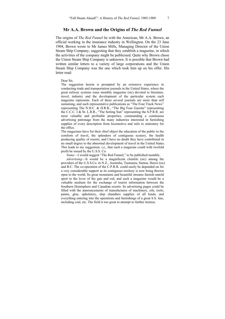### **Mr A.A. Brown and the Origins of** *The Red Funnel*

The origins of *The Red Funnel* lie with the American, Mr A.A. Brown, an official working in the insurance industry in Wellington. On the 23 June 1904, Brown wrote to Mr James Mills, Managing Director of the Union Steam Ship Company, suggesting that they establish a magazine, in which the activities of the company might be publicised. Quite why Brown chose the Union Steam Ship Company is unknown. It is possible that Brown had written similar letters to a variety of large corporations and the Union Steam Ship Company was the one which took him up on his offer. His letter read:

Dear Sir,

The suggestion herein is prompted by an extensive experience in conducting trade and transportation journals in the United States, where the great railway systems issue monthly magazine (sic) devoted to literature, travel, industry and the development of the particular system each magazine represents. Each of these several journals are more than self sustaining, and such representative publications as "The Four Track News" representing The N.H.C. & H.R.R., "The Big Four Gazette" representing the C.C.C. I & St. L.R.R., "The Setting Sun" representing the S.P.R.R. are most valuable and profitable properties, commanding a continuous advertising patronage from the many industries interested in furnishing supplies of every description from locomotive and rails to stationery for the office.

The magazines have for their chief object the education of the public to the comforts of travel, the splendors of contiguous scenery, the health producing quality of resorts, and I have no doubt they have contributed in no small degree to the abnormal development of travel in the United States. This leads to my suggestion. i.e., that such a magazine could with twofold profit be issued by the U.S.S. Co.

*Name*—I would suggest "The Red Funnel," to be published monthly.

*Advertising*—It would be a magnificent clientile (sic) among the providors of the U.S.S.Co. in N.Z., Australia, Tasmania, Samoa, Hawii (sic) and B.C. The co-operation of the C.P.R.R. could easily be depended on for a very considerable support as its contiguous territory is now being thrown open to the world. Its great mountains and beautiful streams furnish untold sport to the lover of the gun and rod, and such a magazine would be a valuable medium for the exchange of tourist information between the Southern Hemisphere and Canadian resorts. Its advertising pages could be filled with the announcements of manufactures of machinery, oils, tools, paints, glue, upholstery, ship chandlers supplies of all kinds, and everything entering into the operations and furnishings of a great S.S. line, including coal, etc. The field is too great to attempt to further itemize.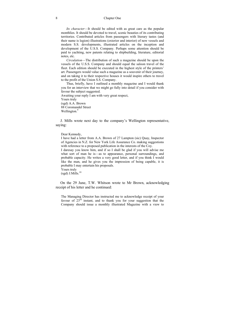#### 8 Chapter One

*Its character*—It should be edited with as great care as the popular monthlies. It should be devoted to travel, scenic beauties of its contributing territories. Contributed articles from passengers with literary tastes (and their name is legion) illustrations (exterior and interior) of new vessels and modern S.S. developments, illustrated articles on the inception and development of the U.S.S. Company. Perhaps some attention should be paid to yachting, new patents relating to shipbuilding, literature, editorial notes, etc.

*Circulation*—The distribution of such a magazine should be upon the vessels of the U.S.S. Company and should equal the saloon travel of the fleet. Each edition should be executed in the highest style of the printers' art. Passengers would value such a magazine as a souvenir of their journey, and on taking it to their respective houses it would inspire others to travel to the profit of the Union S.S. Company.

Thus, briefly, have I outlined a monthly magazine and I would thank you for an interview that we might go fully into detail if you consider with favour the subject suggested.

Awaiting your reply I am with very great respect, Yours truly (sgd) A.A. Brown 88 Coromandel Street Wellington.<sup>9</sup>

 J. Mills wrote next day to the company's Wellington representative, saying:

Dear Kennedy,

I have had a letter from A.A. Brown of 27 Lampton (sic) Quay, Inspector of Agencies in N.Z. for New York Life Assurance Co. making suggestions with reference to a proposed publication in the interests of the Coy.

I daresay you know him, and if so I shall be glad if you will advise me what sort of man he is—as to appearance, personal surroundings, and probable capacity. He writes a very good letter, and if you think I would like the man, and he gives you the impression of being capable, it is probable I may entertain his proposals.

Yours truly  $(sgd)$  J.Mills.<sup>10</sup>

 On the 29 June, T.W. Whitson wrote to Mr Brown, acknowledging receipt of his letter and he continued:

The Managing Director has instructed me to acknowledge receipt of your favour of  $23<sup>rd</sup>$  instant, and to thank you for your suggestion that the Company should issue a monthly illustrated Magazine with a view to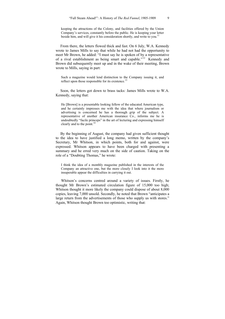keeping the attractions of the Colony, and facilities offered by the Union Company's services, constantly before the public. He is keeping your letter beside him, and will give it his consideration shortly, and write to you.<sup>11</sup>

 From there, the letters flowed thick and fast. On 6 July, W.A. Kennedy wrote to James Mills to say that while he had not had the opportunity to meet Mr Brown, he added: "I must say he is spoken of by a representative of a rival establishment as being smart and capable."12 Kennedy and Brown did subsequently meet up and in the wake of their meeting, Brown wrote to Mills, saying in part:

Such a magazine would lend distinction to the Company issuing it, and reflect upon those responsible for its existence.<sup>13</sup>

 Soon, the letters got down to brass tacks: James Mills wrote to W.A. Kennedy, saying that:

He [Brown] is a presentable looking fellow of the educated American type, and he certainly impresses me with the idea that where journalism or advertising is concerned he has a thorough grip of the subject. A representative of another American insurance Co., informs me he is undoubtedly "facile princeps" in the art of lecturing and expressing himself clearly and to the point.<sup>14</sup>

 By the beginning of August, the company had given sufficient thought to the idea to have justified a long memo, written by the company's Secretary, Mr Whitson, in which points, both for and against, were expressed. Whitson appears to have been charged with presenting a summary and he erred very much on the side of caution. Taking on the role of a "Doubting Thomas," he wrote:

I think the idea of a monthly magazine published in the interests of the Company an attractive one, but the more closely I look into it the more insuperable appear the difficulties in carrying it out.

Whitson's concerns centred around a variety of issues. Firstly, he thought Mr Brown's estimated circulation figure of 15,000 too high; Whitson thought it more likely the company could dispose of about 8,000 copies, leaving 7,000 unsold. Secondly, he noted that Brown "anticipates a large return from the advertisements of those who supply us with stores." Again, Whitson thought Brown too optimistic, writing that: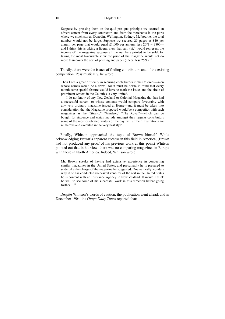### 10 Chapter One

Suppose by pressing them on the quid pro quo principle we secured an advertisement from every contractor, and from the merchants in the ports where we stock stores, Dunedin, Wellington, Sydney, Melbourne, the total number would not be large. Suppose we secured 25 pages at £40 per annum per page that would equal £1,000 per annum, less  $20\% = \text{\pounds}800$  and I think this is taking a liberal view that sum (sic) would represent the income of the magazine suppose all the numbers printed to be sold, for taking the most favourable view the price of the magazine would not do more than cover the cost of printing and paper  $(1/-$  ea. less  $25\%)$ <sup>15</sup>

 Thirdly, there were the issues of finding contributors and of the existing competition. Pessimistically, he wrote:

Then I see a great difficulty in securing contributors in the Colonies—men whose names would be a draw—for it must be borne in mind that every month some special feature would have to mark the issue, and the circle of prominent writers in the Colonies is very limited.

I do not know of any New Zealand or Colonial Magazine that has had a successful career—or whose contents would compare favourably with any very ordinary magazine issued at Home—and it must be taken into consideration that the Magazine proposed would be a competitor with such magazines as the "Strand," "Windsor," "The Royal"—which can be bought for sixpence and which include amongst their regular contributors some of the most celebrated writers of the day, whilst their illustrations are numerous and executed in the very best style.

 Finally, Whitson approached the topic of Brown himself. While acknowledging Brown's apparent success in this field in America, (Brown had not produced any proof of his previous work at this point) Whitson pointed out that in his view, there was no comparing magazines in Europe with those in North America. Indeed, Whitson wrote:

Mr. Brown speaks of having had extensive experience in conducting similar magazines in the United States, and presumably he is prepared to undertake the charge of the magazine he suggested. One naturally wonders why if he has conducted successful ventures of the sort in the United States he is content with an Insurance Agency in New Zealand. It would I think be well to see some of his successful work in this direction before going further…<sup>16</sup>

 Despite Whitson's words of caution, the publication went ahead, and in December 1904, the *Otago Daily Times* reported that: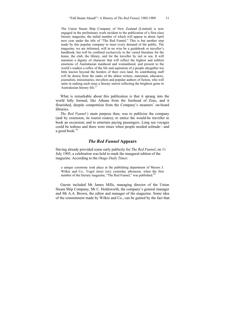The Union Steam Ship Company of New Zealand (Limited) is now engaged in the preliminary work incident to the publication of a first-class literary magazine, the initial number of which will appear in about April next year under the title of "The Red Funnel." This is but another step made by this popular company to meet every demand of the public. The magazine, we are informed, will in no wise be a guidebook or traveller's handbook, but will be confined exclusively to the varied literature for the home, the club, the library, and for the traveller by rail or sea. It will maintain a dignity of character that will reflect the highest and noblest emotions of Australasian manhood and womanhood, and present to the world's readers a reflex of the life and aspiration of a people altogether too little known beyond the borders of their own land. Its contributing staff will be drawn from the ranks of the ablest writers, statesmen, educators, journalists, missionaries, travellers and popular authors of fiction, who will unite in making each issue a literary mirror reflecting the brightest gems in Australasian literary life*.* 17

 What is remarkable about this publication is that it sprang into the world fully formed, like Athena from the forehead of Zeus, and it flourished, despite competition from the Company's steamers' on-board **libraries** 

 *The Red Funnel's* main purpose then, was to publicise the company (and by extension, its tourist routes); to entice the would-be traveller to book an excursion; and to entertain paying passengers. Long sea voyages could be tedious and there were times when people needed solitude—and a good book.<sup>18</sup>

### *The Red Funnel* **Appears**

Having already provided some early publicity for *The Red Funnel*, on 11 July 1905, a celebration was held to mark the inaugural edition of the magazine. According to the *Otago Daily Times*:

a unique ceremony took place at the publishing department of Messrs J. Wilkie and Co., Vogel street (sic) yesterday afternoon, when the first number of the literary magazine, "The Red Funnel," was published.<sup>19</sup>

 Guests included Mr James Mills, managing director of the Union Steam Ship Company, Mr C. Holdsworth, the company's general manager and Mr A.A. Brown, the editor and manager of the magazine. Some idea of the commitment made by Wilkie and Co., can be gained by the fact that: